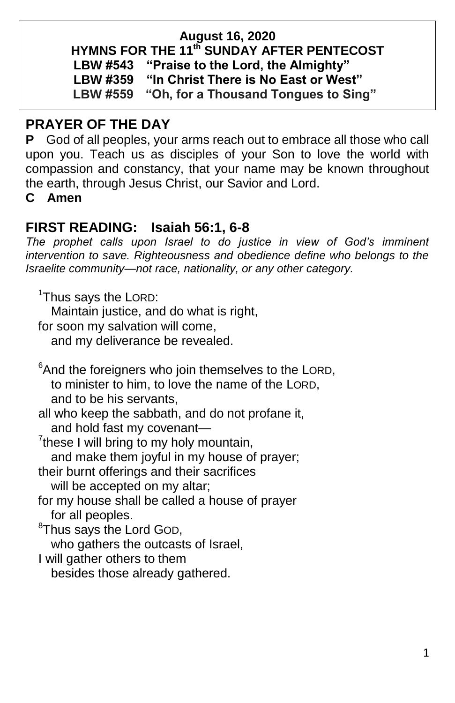#### **August 16, 2020**

**HYMNS FOR THE 11 th SUNDAY AFTER PENTECOST**

**LBW #543 "Praise to the Lord, the Almighty"**

**LBW #359 "In Christ There is No East or West"**

**LBW #559 "Oh, for a Thousand Tongues to Sing"**

## **PRAYER OF THE DAY**

**P** God of all peoples, your arms reach out to embrace all those who call upon you. Teach us as disciples of your Son to love the world with compassion and constancy, that your name may be known throughout the earth, through Jesus Christ, our Savior and Lord.

**C Amen**

# **FIRST READING: Isaiah 56:1, 6-8**

*The prophet calls upon Israel to do justice in view of God's imminent intervention to save. Righteousness and obedience define who belongs to the Israelite community—not race, nationality, or any other category.*

<sup>1</sup>Thus says the LORD:

Maintain justice, and do what is right,

for soon my salvation will come,

and my deliverance be revealed.

 $6$ And the foreigners who join themselves to the LORD, to minister to him, to love the name of the LORD, and to be his servants, all who keep the sabbath, and do not profane it, and hold fast my covenant— <sup>7</sup>  $7$ these I will bring to my holy mountain, and make them joyful in my house of prayer; their burnt offerings and their sacrifices will be accepted on my altar;

for my house shall be called a house of prayer for all peoples.

<sup>8</sup>Thus says the Lord GOD,

who gathers the outcasts of Israel,

I will gather others to them

besides those already gathered.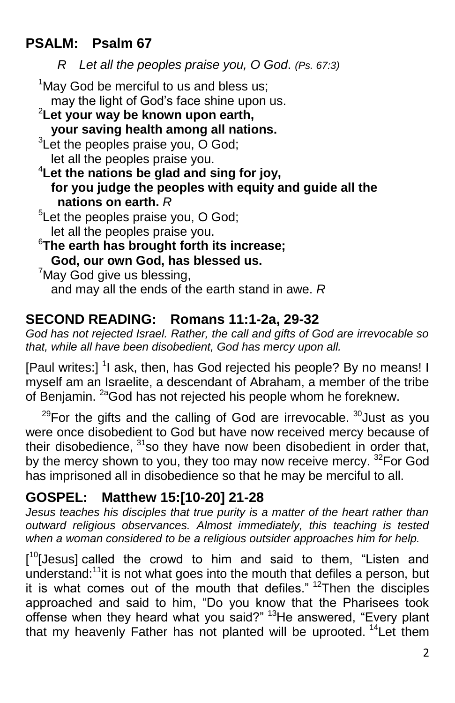# **PSALM: Psalm 67**

*R Let all the peoples praise you, O God*. *(Ps. 67:3)*

 $1$ May God be merciful to us and bless us; may the light of God's face shine upon us. <sup>2</sup>**Let your way be known upon earth, your saving health among all nations.**  $3$ Let the peoples praise you, O God; let all the peoples praise you. <sup>4</sup>**Let the nations be glad and sing for joy, for you judge the peoples with equity and guide all the nations on earth.** *R* <sup>5</sup>Let the peoples praise you, O God; let all the peoples praise you. <sup>6</sup>**The earth has brought forth its increase; God, our own God, has blessed us.**  $7$ May God give us blessing, and may all the ends of the earth stand in awe. *R*

# **SECOND READING: Romans 11:1-2a, 29-32**

*God has not rejected Israel. Rather, the call and gifts of God are irrevocable so that, while all have been disobedient, God has mercy upon all.*

[Paul writes:] <sup>1</sup>I ask, then, has God rejected his people? By no means! I myself am an Israelite, a descendant of Abraham, a member of the tribe of Benjamin. <sup>2a</sup>God has not rejected his people whom he foreknew.

 $29$ For the gifts and the calling of God are irrevocable.  $30$  Just as you were once disobedient to God but have now received mercy because of their disobedience,  $31$  so they have now been disobedient in order that, by the mercy shown to you, they too may now receive mercy. <sup>32</sup>For God has imprisoned all in disobedience so that he may be merciful to all.

## **GOSPEL: Matthew 15:[10-20] 21-28**

*Jesus teaches his disciples that true purity is a matter of the heart rather than outward religious observances. Almost immediately, this teaching is tested when a woman considered to be a religious outsider approaches him for help.*

[<sup>10</sup>[Jesus] called the crowd to him and said to them, "Listen and understand:<sup>11</sup>it is not what goes into the mouth that defiles a person, but it is what comes out of the mouth that defiles." <sup>12</sup>Then the disciples approached and said to him, "Do you know that the Pharisees took offense when they heard what you said?" <sup>13</sup>He answered, "Every plant that my heavenly Father has not planted will be uprooted.<sup>14</sup>Let them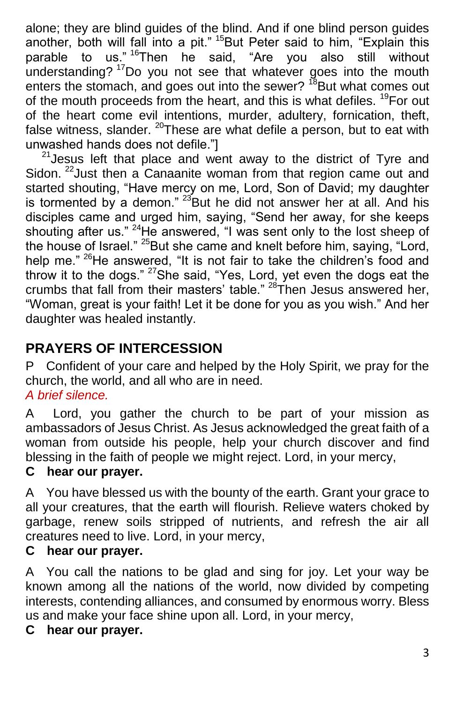alone; they are blind guides of the blind. And if one blind person guides another, both will fall into a pit." <sup>15</sup>But Peter said to him, "Explain this parable to us." <sup>16</sup>Then he said, "Are you also still without understanding?<sup>17</sup>Do you not see that whatever goes into the mouth enters the stomach, and goes out into the sewer?  $^{18}$ But what comes out of the mouth proceeds from the heart, and this is what defiles. <sup>19</sup>For out of the heart come evil intentions, murder, adultery, fornication, theft, false witness, slander.  $^{20}$ These are what defile a person, but to eat with unwashed hands does not defile."]

 $21$  Jesus left that place and went away to the district of Tyre and Sidon. <sup>22</sup> Just then a Canaanite woman from that region came out and started shouting, "Have mercy on me, Lord, Son of David; my daughter is tormented by a demon."  $23$ But he did not answer her at all. And his disciples came and urged him, saying, "Send her away, for she keeps shouting after us." <sup>24</sup>He answered, "I was sent only to the lost sheep of the house of Israel." <sup>25</sup>But she came and knelt before him, saying, "Lord, help me."<sup>26</sup>He answered, "It is not fair to take the children's food and throw it to the dogs." <sup>27</sup>She said, "Yes, Lord, yet even the dogs eat the crumbs that fall from their masters' table."<sup>28</sup>Then Jesus answered her, "Woman, great is your faith! Let it be done for you as you wish." And her daughter was healed instantly.

# **PRAYERS OF INTERCESSION**

PConfident of your care and helped by the Holy Spirit, we pray for the church, the world, and all who are in need.

*A brief silence.*

ALord, you gather the church to be part of your mission as ambassadors of Jesus Christ. As Jesus acknowledged the great faith of a woman from outside his people, help your church discover and find blessing in the faith of people we might reject. Lord, in your mercy,

### **C hear our prayer.**

AYou have blessed us with the bounty of the earth. Grant your grace to all your creatures, that the earth will flourish. Relieve waters choked by garbage, renew soils stripped of nutrients, and refresh the air all creatures need to live. Lord, in your mercy,

#### **C hear our prayer.**

AYou call the nations to be glad and sing for joy. Let your way be known among all the nations of the world, now divided by competing interests, contending alliances, and consumed by enormous worry. Bless us and make your face shine upon all. Lord, in your mercy,

#### **C hear our prayer.**